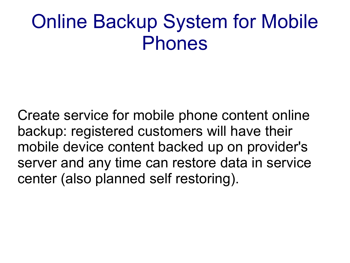### Online Backup System for Mobile Phones

Create service for mobile phone content online backup: registered customers will have their mobile device content backed up on provider's server and any time can restore data in service center (also planned self restoring).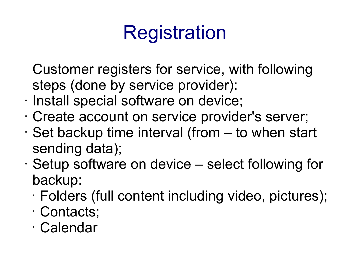# Registration

Customer registers for service, with following steps (done by service provider):

- Install special software on device;
- Create account on service provider's server;
- $\cdot$  Set backup time interval (from  $-$  to when start sending data);
- Setup software on device select following for backup:
	- Folders (full content including video, pictures);
	- Contacts;
	- Calendar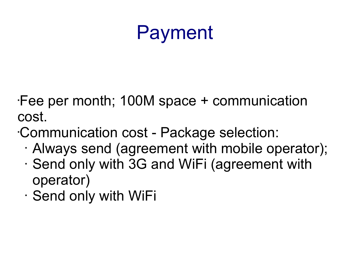## Payment

•Fee per month; 100M space + communication cost.

•Communication cost - Package selection:

- Always send (agreement with mobile operator);
- Send only with 3G and WiFi (agreement with operator)
- Send only with WiFi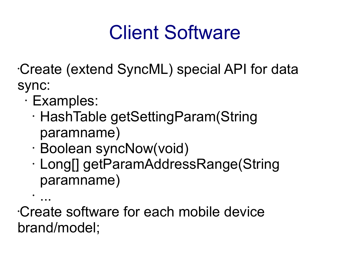## Client Software

•Create (extend SyncML) special API for data sync:

• Examples:

•

- HashTable getSettingParam(String paramname)
- Boolean syncNow(void)
- Long[] getParamAddressRange(String paramname)

... •Create software for each mobile device brand/model;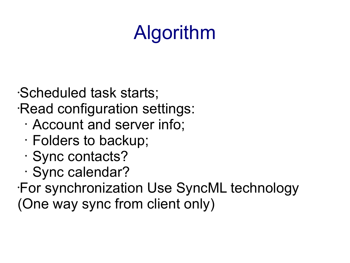# Algorithm

•Scheduled task starts; •Read configuration settings:

- Account and server info;
- Folders to backup;
- Sync contacts?
- Sync calendar?

•For synchronization Use SyncML technology (One way sync from client only)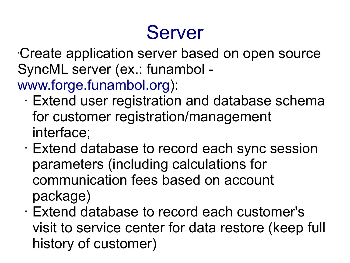### Server

•Create application server based on open source SyncML server (ex.: funambol -

[www.forge.funambol.org\)](http://www.forge.funambol.org/):

- Extend user registration and database schema for customer registration/management interface;
- Extend database to record each sync session parameters (including calculations for communication fees based on account package)
- Extend database to record each customer's visit to service center for data restore (keep full history of customer)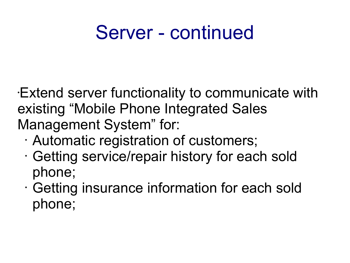#### Server - continued

•Extend server functionality to communicate with existing "Mobile Phone Integrated Sales Management System" for:

- Automatic registration of customers;
- Getting service/repair history for each sold phone;
- Getting insurance information for each sold phone;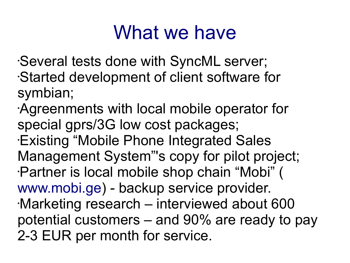#### What we have

•Several tests done with SyncML server; •Started development of client software for symbian;

•Agreenments with local mobile operator for special gprs/3G low cost packages; •Existing "Mobile Phone Integrated Sales Management System"'s copy for pilot project; •Partner is local mobile shop chain "Mobi" ( [www.mobi.ge\)](http://www.mobi.ge/) - backup service provider. •Marketing research – interviewed about 600 potential customers – and 90% are ready to pay 2-3 EUR per month for service.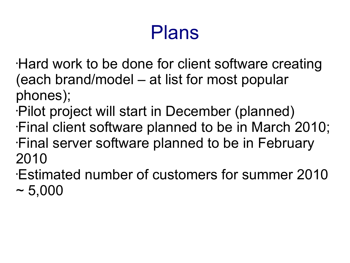## Plans

- •Hard work to be done for client software creating (each brand/model – at list for most popular phones);
- •Pilot project will start in December (planned) •Final client software planned to be in March 2010; •Final server software planned to be in February 2010
- •Estimated number of customers for summer 2010  $~1$  – 5,000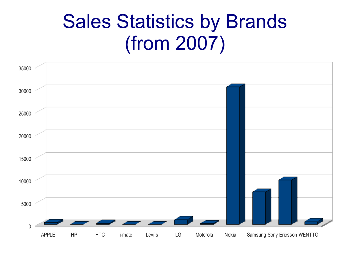### Sales Statistics by Brands (from 2007)